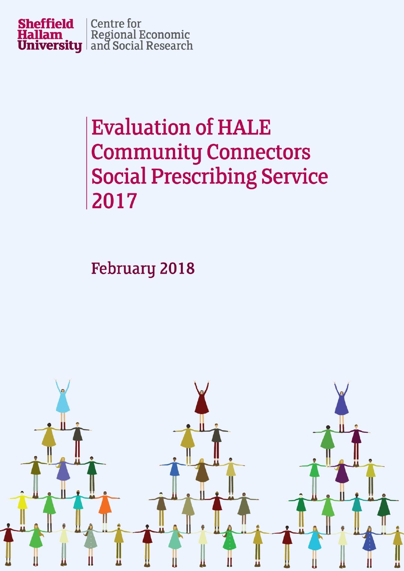

# **Evaluation of HALE Community Connectors Social Prescribing Service** 2017

## **February 2018**

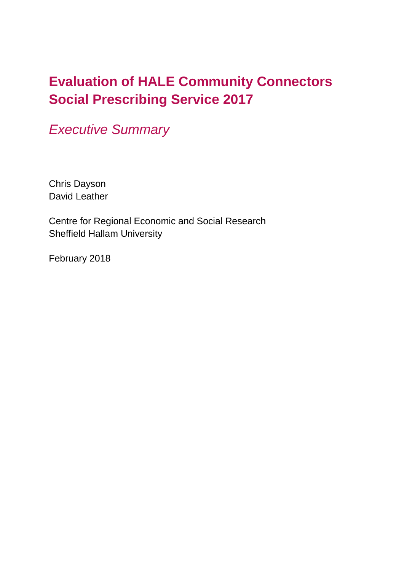### **Evaluation of HALE Community Connectors Social Prescribing Service 2017**

*Executive Summary*

Chris Dayson David Leather

Centre for Regional Economic and Social Research Sheffield Hallam University

February 2018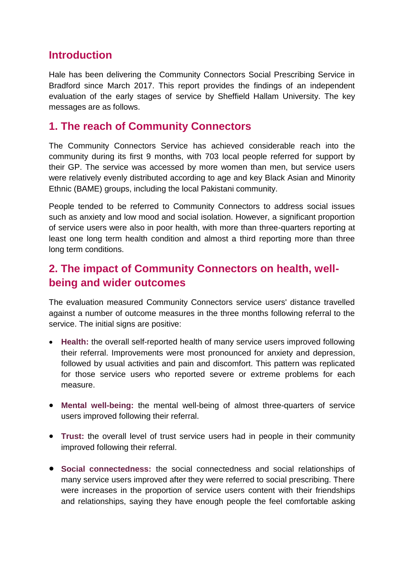#### **Introduction**

Hale has been delivering the Community Connectors Social Prescribing Service in Bradford since March 2017. This report provides the findings of an independent evaluation of the early stages of service by Sheffield Hallam University. The key messages are as follows.

#### **1. The reach of Community Connectors**

The Community Connectors Service has achieved considerable reach into the community during its first 9 months, with 703 local people referred for support by their GP. The service was accessed by more women than men, but service users were relatively evenly distributed according to age and key Black Asian and Minority Ethnic (BAME) groups, including the local Pakistani community.

People tended to be referred to Community Connectors to address social issues such as anxiety and low mood and social isolation. However, a significant proportion of service users were also in poor health, with more than three-quarters reporting at least one long term health condition and almost a third reporting more than three long term conditions.

#### **2. The impact of Community Connectors on health, wellbeing and wider outcomes**

The evaluation measured Community Connectors service users' distance travelled against a number of outcome measures in the three months following referral to the service. The initial signs are positive:

- **Health:** the overall self-reported health of many service users improved following their referral. Improvements were most pronounced for anxiety and depression, followed by usual activities and pain and discomfort. This pattern was replicated for those service users who reported severe or extreme problems for each measure.
- **Mental well-being:** the mental well-being of almost three-quarters of service users improved following their referral.
- **Trust:** the overall level of trust service users had in people in their community improved following their referral.
- **Social connectedness:** the social connectedness and social relationships of many service users improved after they were referred to social prescribing. There were increases in the proportion of service users content with their friendships and relationships, saying they have enough people the feel comfortable asking